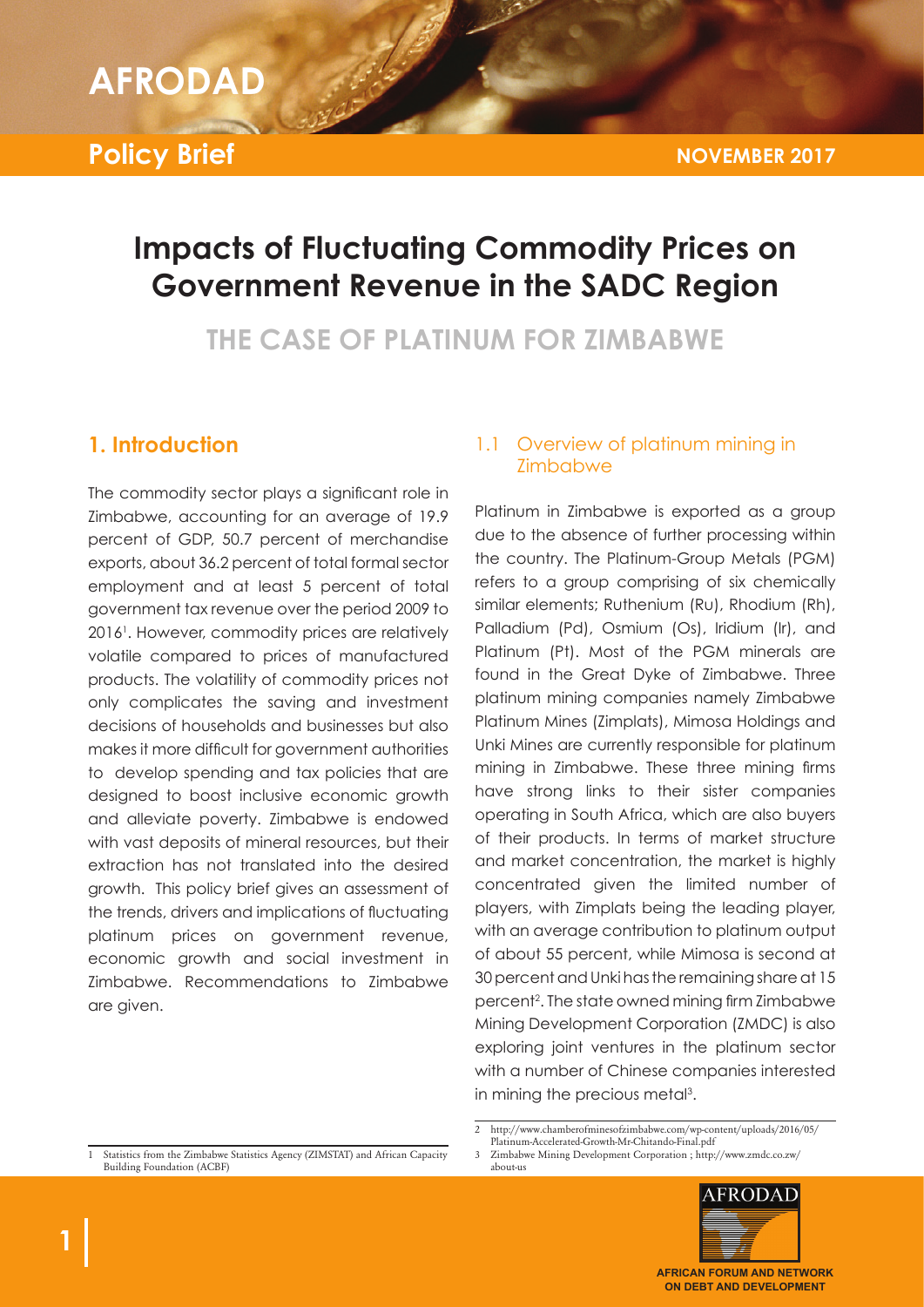#### **GEDONAN**  $AFRODAD$

**IMPACTS OF FLUCTUATING COMMODITY PRICES ON** 

**Policy Brief**

# **Impacts of Fluctuating Commodity Prices on Government Revenue in the SADC Region**

**THE CASE OF PLATINUM FOR ZIMBABWE**

### **1. Introduction**

The commodity sector plays a significant role in Zimbabwe, accounting for an average of 19.9 percent of GDP, 50.7 percent of merchandise exports, about 36.2 percent of total formal sector employment and at least 5 percent of total government tax revenue over the period 2009 to 20161 . However, commodity prices are relatively volatile compared to prices of manufactured products. The volatility of commodity prices not only complicates the saving and investment decisions of households and businesses but also makes it more difficult for government authorities to develop spending and tax policies that are designed to boost inclusive economic growth and alleviate poverty. Zimbabwe is endowed with vast deposits of mineral resources, but their extraction has not translated into the desired growth. This policy brief gives an assessment of the trends, drivers and implications of fluctuating platinum prices on government revenue, economic growth and social investment in Zimbabwe. Recommendations to Zimbabwe are given.

### 1.1 Overview of platinum mining in Zimbabwe

Platinum in Zimbabwe is exported as a group due to the absence of further processing within the country. The Platinum-Group Metals (PGM) refers to a group comprising of six chemically similar elements; Ruthenium (Ru), Rhodium (Rh), Palladium (Pd), Osmium (Os), Iridium (Ir), and Platinum (Pt). Most of the PGM minerals are found in the Great Dyke of Zimbabwe. Three platinum mining companies namely Zimbabwe Platinum Mines (Zimplats), Mimosa Holdings and Unki Mines are currently responsible for platinum mining in Zimbabwe. These three mining firms have strong links to their sister companies operating in South Africa, which are also buyers of their products. In terms of market structure and market concentration, the market is highly concentrated given the limited number of players, with Zimplats being the leading player, with an average contribution to platinum output of about 55 percent, while Mimosa is second at 30 percent and Unki has the remaining share at 15 percent2 . The state owned mining firm Zimbabwe Mining Development Corporation (ZMDC) is also exploring joint ventures in the platinum sector with a number of Chinese companies interested in mining the precious metal<sup>3</sup>.

3 Zimbabwe Mining Development Corporation ; http://www.zmdc.co.zw/ about-us



Statistics from the Zimbabwe Statistics Agency (ZIMSTAT) and African Capacity Building Foundation (ACBF)

<sup>2</sup> http://www.chamberofminesofzimbabwe.com/wp-content/uploads/2016/05/ Platinum-Accelerated-Growth-Mr-Chitando-Final.pdf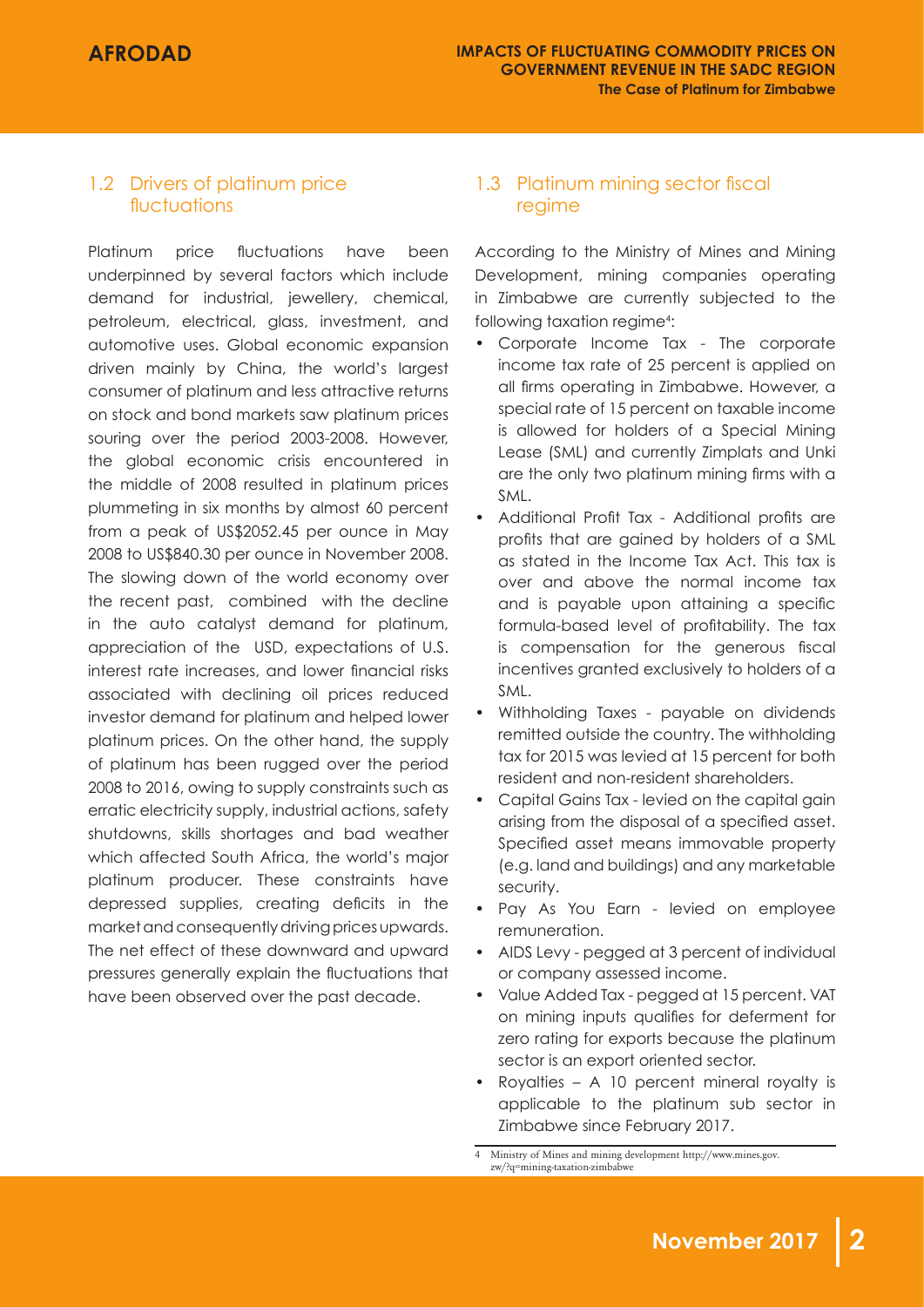### 1.2 Drivers of platinum price fluctuations

Platinum price fluctuations have been underpinned by several factors which include demand for industrial, jewellery, chemical, petroleum, electrical, glass, investment, and automotive uses. Global economic expansion driven mainly by China, the world's largest consumer of platinum and less attractive returns on stock and bond markets saw platinum prices souring over the period 2003-2008. However, the global economic crisis encountered in the middle of 2008 resulted in platinum prices plummeting in six months by almost 60 percent from a peak of US\$2052.45 per ounce in May 2008 to US\$840.30 per ounce in November 2008. The slowing down of the world economy over the recent past, combined with the decline in the auto catalyst demand for platinum, appreciation of the USD, expectations of U.S. interest rate increases, and lower financial risks associated with declining oil prices reduced investor demand for platinum and helped lower platinum prices. On the other hand, the supply of platinum has been rugged over the period 2008 to 2016, owing to supply constraints such as erratic electricity supply, industrial actions, safety shutdowns, skills shortages and bad weather which affected South Africa, the world's major platinum producer. These constraints have depressed supplies, creating deficits in the market and consequently driving prices upwards. The net effect of these downward and upward pressures generally explain the fluctuations that have been observed over the past decade.

### 1.3 Platinum mining sector fiscal regime

According to the Ministry of Mines and Mining Development, mining companies operating in Zimbabwe are currently subjected to the following taxation regime<sup>4</sup>:

- Corporate Income Tax The corporate income tax rate of 25 percent is applied on all firms operating in Zimbabwe. However, a special rate of 15 percent on taxable income is allowed for holders of a Special Mining Lease (SML) and currently Zimplats and Unki are the only two platinum mining firms with a SML.
- Additional Profit Tax Additional profits are profits that are gained by holders of a SML as stated in the Income Tax Act. This tax is over and above the normal income tax and is payable upon attaining a specific formula-based level of profitability. The tax is compensation for the generous fiscal incentives granted exclusively to holders of a SML.
- Withholding Taxes payable on dividends remitted outside the country. The withholding tax for 2015 was levied at 15 percent for both resident and non-resident shareholders.
- Capital Gains Tax levied on the capital gain arising from the disposal of a specified asset. Specified asset means immovable property (e.g. land and buildings) and any marketable security.
- Pay As You Earn levied on employee remuneration.
- AIDS Levy pegged at 3 percent of individual or company assessed income.
- Value Added Tax pegged at 15 percent. VAT on mining inputs qualifies for deferment for zero rating for exports because the platinum sector is an export oriented sector.
- Royalties A 10 percent mineral royalty is applicable to the platinum sub sector in Zimbabwe since February 2017.

<sup>4</sup> Ministry of Mines and mining development http://www.mines.gov. zw/?q=mining-taxation-zimbabwe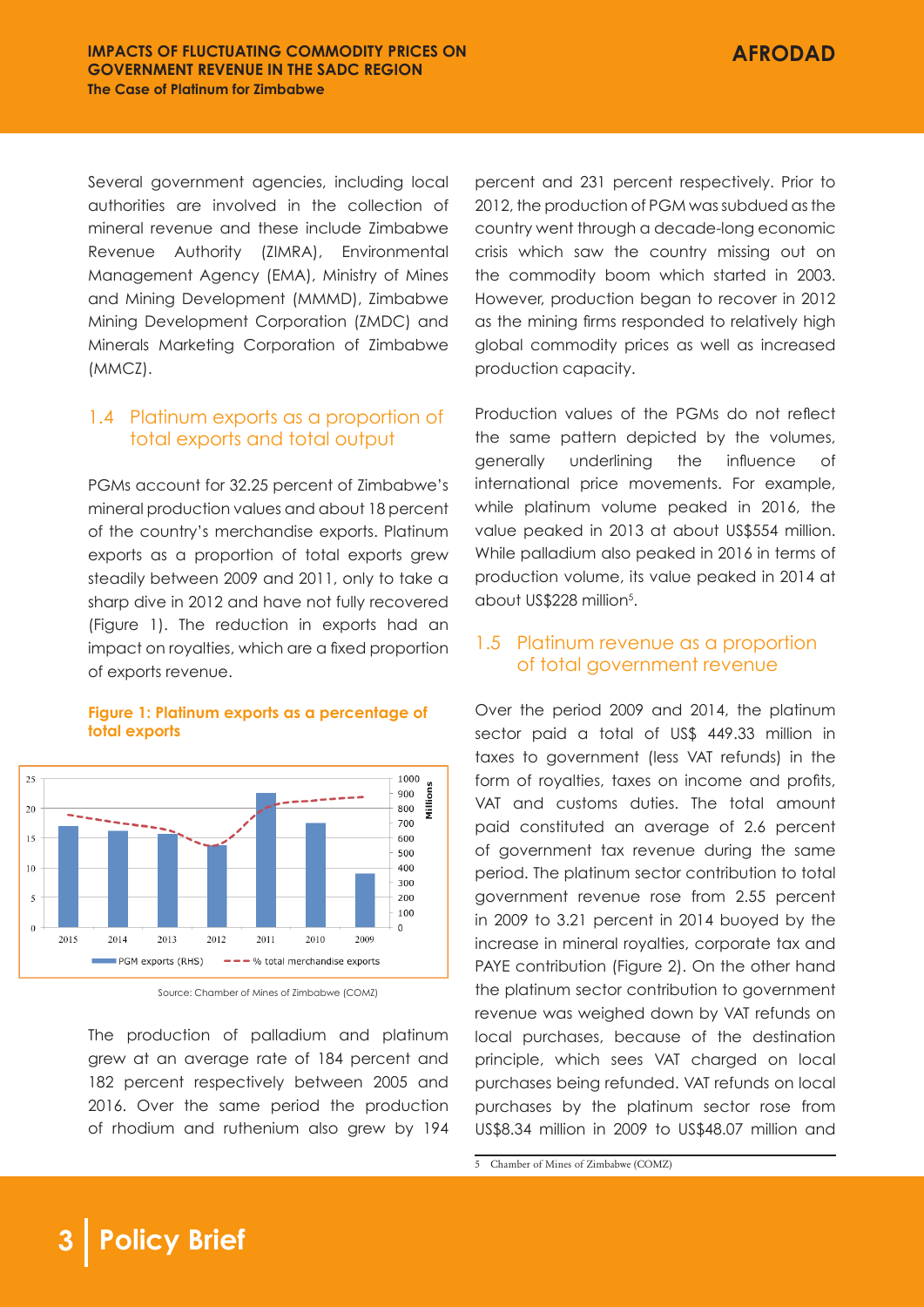Several government agencies, including local authorities are involved in the collection of mineral revenue and these include Zimbabwe Revenue Authority (ZIMRA), Environmental Management Agency (EMA), Ministry of Mines and Mining Development (MMMD), Zimbabwe Mining Development Corporation (ZMDC) and Minerals Marketing Corporation of Zimbabwe (MMCZ).

### 1.4 Platinum exports as a proportion of total exports and total output

PGMs account for 32.25 percent of Zimbabwe's mineral production values and about 18 percent of the country's merchandise exports. Platinum exports as a proportion of total exports grew steadily between 2009 and 2011, only to take a sharp dive in 2012 and have not fully recovered (Figure 1). The reduction in exports had an impact on royalties, which are a fixed proportion of exports revenue.



#### **Figure 1: Platinum exports as a percentage of total exports**

Source: Chamber of Mines of Zimbabwe (COMZ)

The production of palladium and platinum grew at an average rate of 184 percent and 182 percent respectively between 2005 and 2016. Over the same period the production of rhodium and ruthenium also grew by 194 percent and 231 percent respectively. Prior to 2012, the production of PGM was subdued as the country went through a decade-long economic crisis which saw the country missing out on the commodity boom which started in 2003. However, production began to recover in 2012 as the mining firms responded to relatively high global commodity prices as well as increased production capacity.

Production values of the PGMs do not reflect the same pattern depicted by the volumes, generally underlining the influence of international price movements. For example, while platinum volume peaked in 2016, the value peaked in 2013 at about US\$554 million. While palladium also peaked in 2016 in terms of production volume, its value peaked in 2014 at about US\$228 million<sup>5</sup>.

### 1.5 Platinum revenue as a proportion of total government revenue

Over the period 2009 and 2014, the platinum sector paid a total of US\$ 449.33 million in taxes to government (less VAT refunds) in the form of royalties, taxes on income and profits, VAT and customs duties. The total amount paid constituted an average of 2.6 percent of government tax revenue during the same period. The platinum sector contribution to total government revenue rose from 2.55 percent in 2009 to 3.21 percent in 2014 buoyed by the increase in mineral royalties, corporate tax and PAYE contribution (Figure 2). On the other hand the platinum sector contribution to government revenue was weighed down by VAT refunds on local purchases, because of the destination principle, which sees VAT charged on local purchases being refunded. VAT refunds on local purchases by the platinum sector rose from US\$8.34 million in 2009 to US\$48.07 million and

<sup>5</sup> Chamber of Mines of Zimbabwe (COMZ)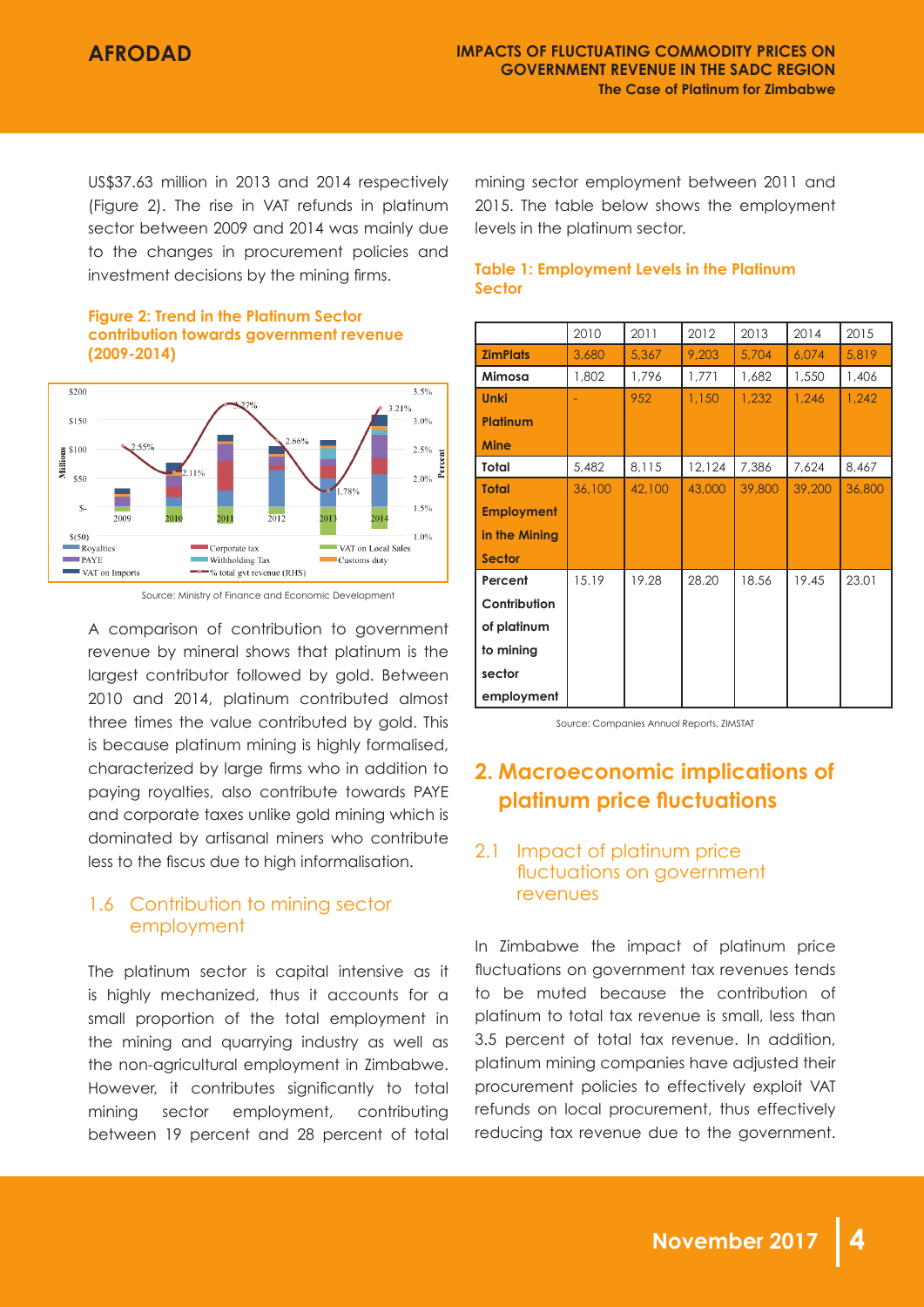US\$37.63 million in 2013 and 2014 respectively (Figure 2). The rise in VAT refunds in platinum sector between 2009 and 2014 was mainly due to the changes in procurement policies and investment decisions by the mining firms.

#### **Figure 2: Trend in the Platinum Sector contribution towards government revenue (2009-2014)**



Source: Ministry of Finance and Economic Development

A comparison of contribution to government revenue by mineral shows that platinum is the largest contributor followed by gold. Between 2010 and 2014, platinum contributed almost three times the value contributed by gold. This is because platinum mining is highly formalised, characterized by large firms who in addition to paying royalties, also contribute towards PAYE and corporate taxes unlike gold mining which is dominated by artisanal miners who contribute less to the fiscus due to high informalisation.

### 1.6 Contribution to mining sector employment

The platinum sector is capital intensive as it is highly mechanized, thus it accounts for a small proportion of the total employment in the mining and quarrying industry as well as the non-agricultural employment in Zimbabwe. However, it contributes significantly to total mining sector employment, contributing between 19 percent and 28 percent of total mining sector employment between 2011 and 2015. The table below shows the employment levels in the platinum sector.

#### **Table 1: Employment Levels in the Platinum Sector**

|                   | 2010   | 2011   | 2012   | 2013   | 2014   | 2015   |
|-------------------|--------|--------|--------|--------|--------|--------|
| <b>ZimPlats</b>   | 3,680  | 5,367  | 9,203  | 5,704  | 6,074  | 5,819  |
| Mimosa            | 1,802  | 1,796  | 1,771  | 1,682  | 1,550  | 1,406  |
| <b>Unki</b>       |        | 952    | 1,150  | 1,232  | 1,246  | 1,242  |
| <b>Platinum</b>   |        |        |        |        |        |        |
| <b>Mine</b>       |        |        |        |        |        |        |
| Total             | 5,482  | 8,115  | 12,124 | 7,386  | 7,624  | 8,467  |
| <b>Total</b>      | 36,100 | 42,100 | 43,000 | 39,800 | 39,200 | 36,800 |
| <b>Employment</b> |        |        |        |        |        |        |
| in the Mining     |        |        |        |        |        |        |
| <b>Sector</b>     |        |        |        |        |        |        |
| Percent           | 15.19  | 19.28  | 28.20  | 18.56  | 19.45  | 23.01  |
| Contribution      |        |        |        |        |        |        |
| of platinum       |        |        |        |        |        |        |
| to mining         |        |        |        |        |        |        |
| sector            |        |        |        |        |        |        |
| employment        |        |        |        |        |        |        |

Source: Companies Annual Reports, ZIMSTAT

# **2. Macroeconomic implications of platinum price fluctuations**

### 2.1 Impact of platinum price fluctuations on government revenues

In Zimbabwe the impact of platinum price fluctuations on government tax revenues tends to be muted because the contribution of platinum to total tax revenue is small, less than 3.5 percent of total tax revenue. In addition, platinum mining companies have adjusted their procurement policies to effectively exploit VAT refunds on local procurement, thus effectively reducing tax revenue due to the government.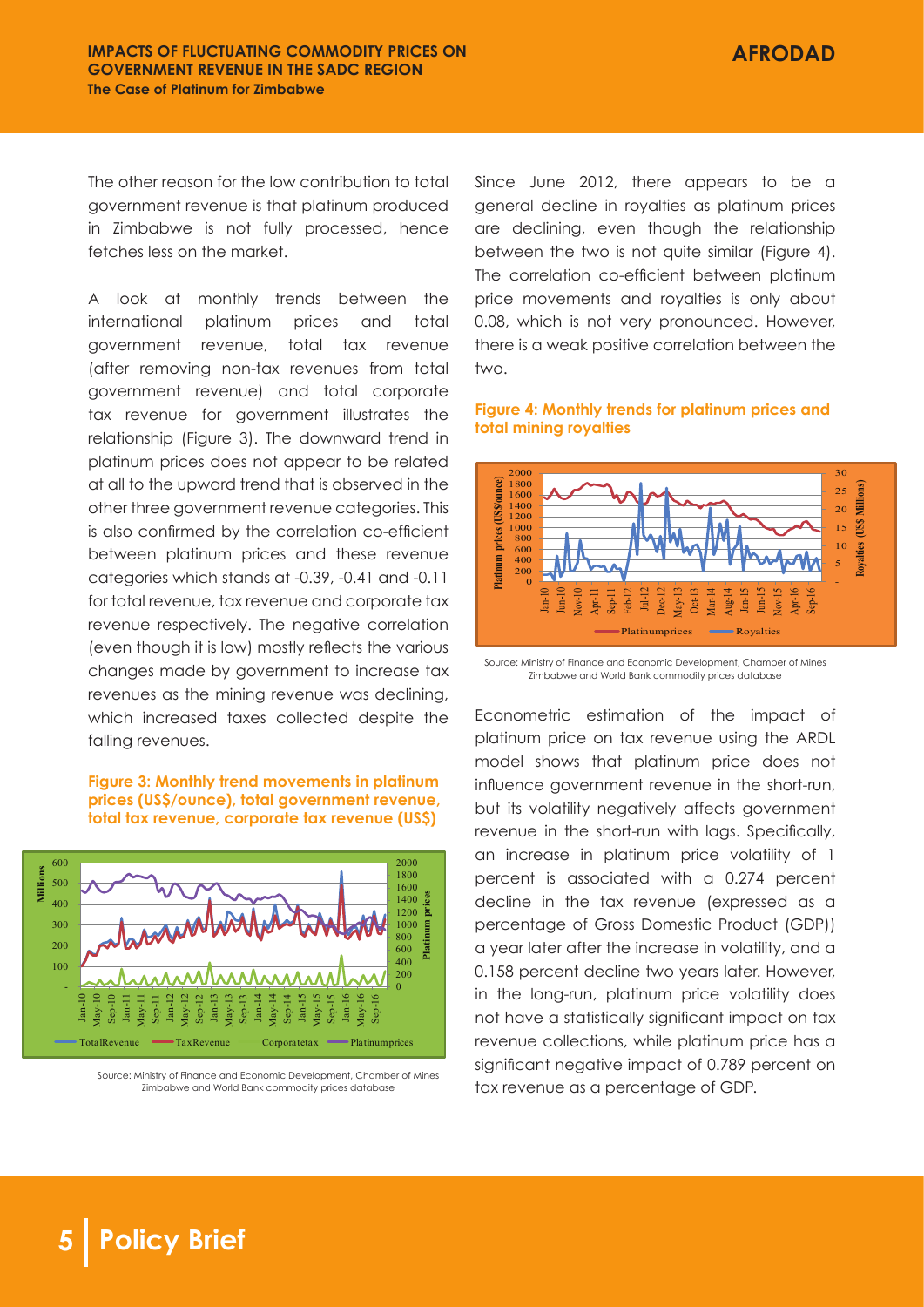The other reason for the low contribution to total government revenue is that platinum produced in Zimbabwe is not fully processed, hence fetches less on the market.

A look at monthly trends between the international platinum prices and total government revenue, total tax revenue (after removing non-tax revenues from total government revenue) and total corporate tax revenue for government illustrates the relationship (Figure 3). The downward trend in platinum prices does not appear to be related at all to the upward trend that is observed in the other three government revenue categories. This is also confirmed by the correlation co-efficient between platinum prices and these revenue categories which stands at -0.39, -0.41 and -0.11 for total revenue, tax revenue and corporate tax revenue respectively. The negative correlation (even though it is low) mostly reflects the various changes made by government to increase tax revenues as the mining revenue was declining, which increased taxes collected despite the falling revenues.

#### **Figure 3: Monthly trend movements in platinum prices (US\$/ounce), total government revenue, total tax revenue, corporate tax revenue (US\$)**



Source: Ministry of Finance and Economic Development, Chamber of Mines Zimbabwe and World Bank commodity prices database

Since June 2012, there appears to be a general decline in royalties as platinum prices are declining, even though the relationship between the two is not quite similar (Figure 4). The correlation co-efficient between platinum price movements and royalties is only about 0.08, which is not very pronounced. However, there is a weak positive correlation between the two.

#### **Figure 4: Monthly trends for platinum prices and total mining royalties**



Source: Ministry of Finance and Economic Development, Chamber of Mines Zimbabwe and World Bank commodity prices database

Econometric estimation of the impact of platinum price on tax revenue using the ARDL model shows that platinum price does not influence government revenue in the short-run, but its volatility negatively affects government revenue in the short-run with lags. Specifically, an increase in platinum price volatility of 1 percent is associated with a 0.274 percent decline in the tax revenue (expressed as a percentage of Gross Domestic Product (GDP)) a year later after the increase in volatility, and a 0.158 percent decline two years later. However, in the long-run, platinum price volatility does not have a statistically significant impact on tax revenue collections, while platinum price has a significant negative impact of 0.789 percent on tax revenue as a percentage of GDP.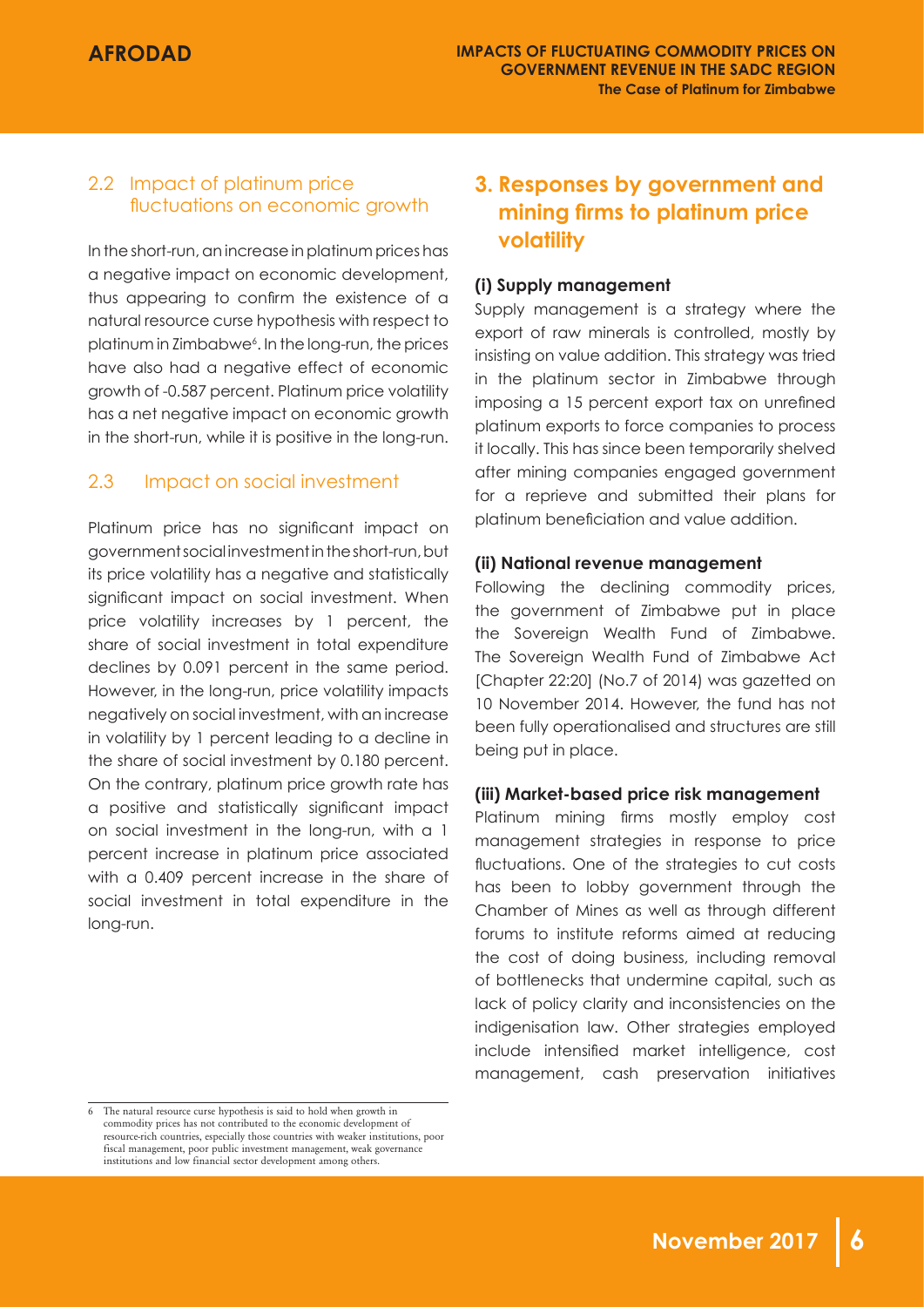### 2.2 Impact of platinum price fluctuations on economic growth

In the short-run, an increase in platinum prices has a negative impact on economic development, thus appearing to confirm the existence of a natural resource curse hypothesis with respect to platinum in Zimbabwe6 . In the long-run, the prices have also had a negative effect of economic growth of -0.587 percent. Platinum price volatility has a net negative impact on economic growth in the short-run, while it is positive in the long-run.

### 2.3 Impact on social investment

Platinum price has no significant impact on government social investment in the short-run, but its price volatility has a negative and statistically significant impact on social investment. When price volatility increases by 1 percent, the share of social investment in total expenditure declines by 0.091 percent in the same period. However, in the long-run, price volatility impacts negatively on social investment, with an increase in volatility by 1 percent leading to a decline in the share of social investment by 0.180 percent. On the contrary, platinum price growth rate has a positive and statistically significant impact on social investment in the long-run, with a 1 percent increase in platinum price associated with a 0.409 percent increase in the share of social investment in total expenditure in the long-run.

## **3. Responses by government and mining firms to platinum price volatility**

### **(i) Supply management**

Supply management is a strategy where the export of raw minerals is controlled, mostly by insisting on value addition. This strategy was tried in the platinum sector in Zimbabwe through imposing a 15 percent export tax on unrefined platinum exports to force companies to process it locally. This has since been temporarily shelved after mining companies engaged government for a reprieve and submitted their plans for platinum beneficiation and value addition.

### **(ii) National revenue management**

Following the declining commodity prices, the government of Zimbabwe put in place the Sovereign Wealth Fund of Zimbabwe. The Sovereign Wealth Fund of Zimbabwe Act [Chapter 22:20] (No.7 of 2014) was gazetted on 10 November 2014. However, the fund has not been fully operationalised and structures are still being put in place.

#### **(iii) Market-based price risk management**

Platinum mining firms mostly employ cost management strategies in response to price fluctuations. One of the strategies to cut costs has been to lobby government through the Chamber of Mines as well as through different forums to institute reforms aimed at reducing the cost of doing business, including removal of bottlenecks that undermine capital, such as lack of policy clarity and inconsistencies on the indigenisation law. Other strategies employed include intensified market intelligence, cost management, cash preservation initiatives

<sup>6</sup> The natural resource curse hypothesis is said to hold when growth in commodity prices has not contributed to the economic development of resource-rich countries, especially those countries with weaker institutions, poor fiscal management, poor public investment management, weak governance institutions and low financial sector development among others.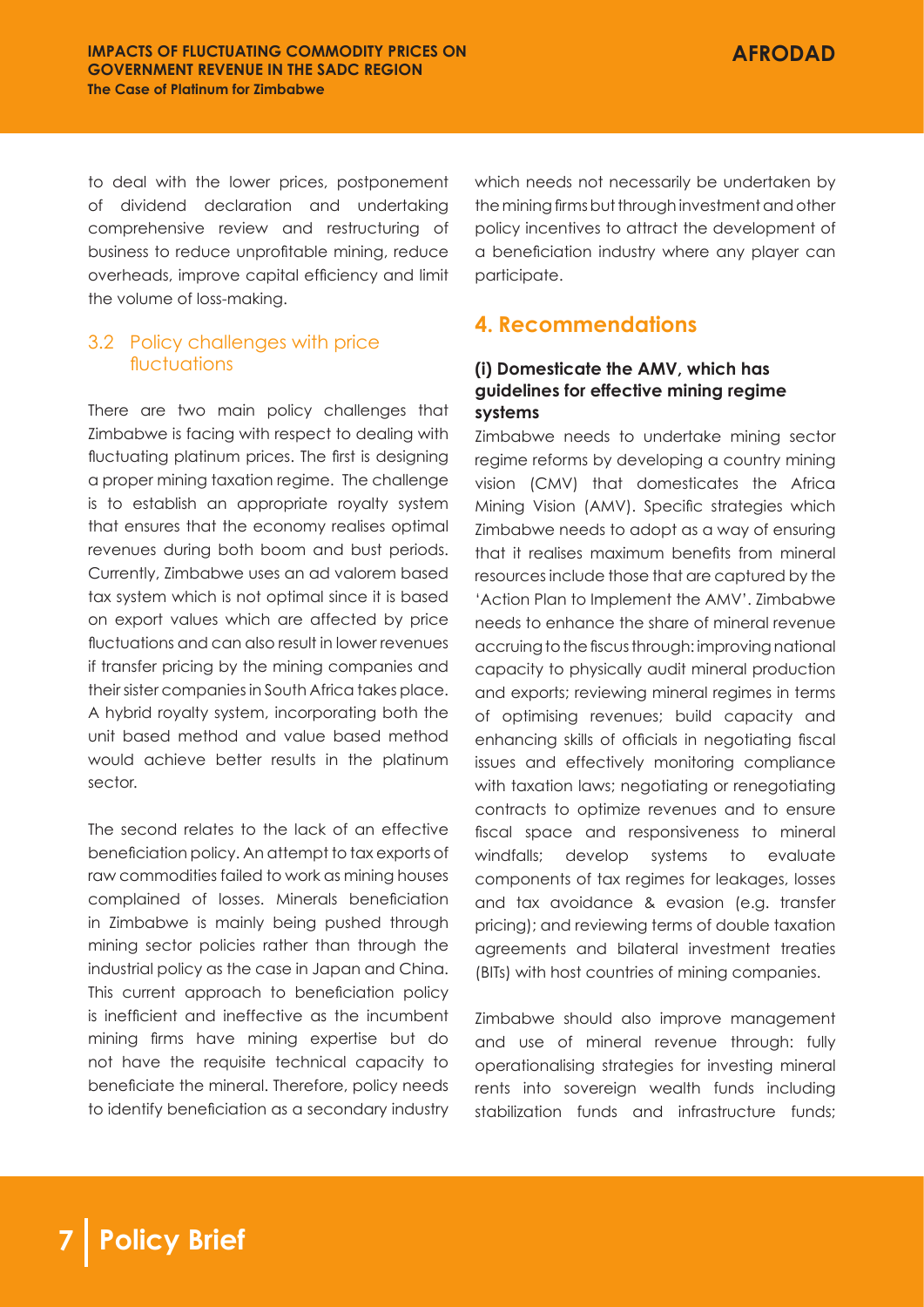to deal with the lower prices, postponement of dividend declaration and undertaking comprehensive review and restructuring of business to reduce unprofitable mining, reduce overheads, improve capital efficiency and limit the volume of loss-making.

### 3.2 Policy challenges with price fluctuations

There are two main policy challenges that Zimbabwe is facing with respect to dealing with fluctuating platinum prices. The first is designing a proper mining taxation regime. The challenge is to establish an appropriate royalty system that ensures that the economy realises optimal revenues during both boom and bust periods. Currently, Zimbabwe uses an ad valorem based tax system which is not optimal since it is based on export values which are affected by price fluctuations and can also result in lower revenues if transfer pricing by the mining companies and their sister companies in South Africa takes place. A hybrid royalty system, incorporating both the unit based method and value based method would achieve better results in the platinum sector.

The second relates to the lack of an effective beneficiation policy. An attempt to tax exports of raw commodities failed to work as mining houses complained of losses. Minerals beneficiation in Zimbabwe is mainly being pushed through mining sector policies rather than through the industrial policy as the case in Japan and China. This current approach to beneficiation policy is inefficient and ineffective as the incumbent mining firms have mining expertise but do not have the requisite technical capacity to beneficiate the mineral. Therefore, policy needs to identify beneficiation as a secondary industry which needs not necessarily be undertaken by the mining firms but through investment and other policy incentives to attract the development of a beneficiation industry where any player can participate.

### **4. Recommendations**

### **(i) Domesticate the AMV, which has guidelines for effective mining regime systems**

Zimbabwe needs to undertake mining sector regime reforms by developing a country mining vision (CMV) that domesticates the Africa Mining Vision (AMV). Specific strategies which Zimbabwe needs to adopt as a way of ensuring that it realises maximum benefits from mineral resources include those that are captured by the 'Action Plan to Implement the AMV'. Zimbabwe needs to enhance the share of mineral revenue accruing to the fiscus through: improving national capacity to physically audit mineral production and exports; reviewing mineral regimes in terms of optimising revenues; build capacity and enhancing skills of officials in negotiating fiscal issues and effectively monitoring compliance with taxation laws; negotiating or renegotiating contracts to optimize revenues and to ensure fiscal space and responsiveness to mineral windfalls; develop systems to evaluate components of tax regimes for leakages, losses and tax avoidance & evasion (e.g. transfer pricing); and reviewing terms of double taxation agreements and bilateral investment treaties (BITs) with host countries of mining companies.

Zimbabwe should also improve management and use of mineral revenue through: fully operationalising strategies for investing mineral rents into sovereign wealth funds including stabilization funds and infrastructure funds;